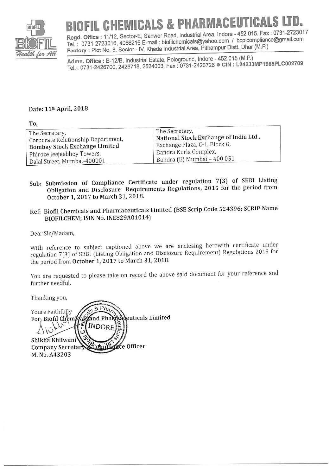

## FIL CHEMICALS & PHARMACEUTICAL

Regd. Office: 11/12, Sector-E, Sanwer Road, Industrial Area, Indore - 452 015. Fax: 0731-2723017 Tel.: 0731-2723016, 4066216 E-mail: biofilchemicals@yahoo.com / bcplcompliance@gmail.com Factory: Plot No. 8, Sector - IV, Kheda Industrial Area, Pithampur Distt. Dhar (M.P.)

Admn. Office: B-12/B, Industrial Estate, Pologround, Indore - 452 015 (M.P.) Tel.: 0731-2426700, 2426718, 2524003, Fax: 0731-2426726 CIN: L24233MP1985PLC002709

## Date: 11<sup>th</sup> April, 2018

| To,                                |                                        |
|------------------------------------|----------------------------------------|
| The Secretary,                     | The Secretary,                         |
| Corporate Relationship Department, | National Stock Exchange of India Ltd., |
| Bombay Stock Exchange Limited      | Exchange Plaza, C-1, Block G,          |
| Phiroze Jeejeebhoy Towers,         | Bandra Kurla Complex,                  |
| Dalal Street, Mumbai-400001        | Bandra (E) Mumbai - 400 051            |

- Sub: Submission of Compliance Certificate under regulation 7(3) of SEBI Listing Obligation and Disclosure Requirements Regulations, 2015 for the period from October 1, 2017 to March 31, 2018.
- Ref: Biofil Chemicals and Pharmaceuticals Limited (BSE Scrip Code 524396; SCRIP Name BIOFILCHEM; ISIN No. INE829A01014)

Dear Sir/Madam,

With reference to subject captioned above we are enclosing herewith certificate under regulation 7(3) of SEBI (Listing Obligation and Disclosure Requirement) Regulations 2015 for the period from October 1, 2017 to March 31, 2018.

You are requested to please take on record the above said document for your reference and further needful.

Thanking you,

Yours Faithfully and Pha**r**înadeuticals Limited For, Biofil Chemida INDORE Shikha Khilwani Comid ance Officer Company Secretary M. No. A43203